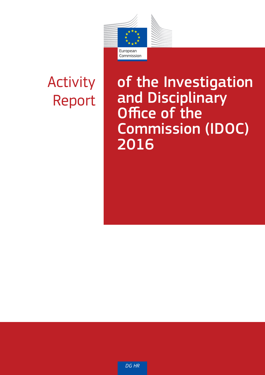

# Activity Report

# of the Investigation and Disciplinary Office of the Commission (IDOC) 2016

*DG HR*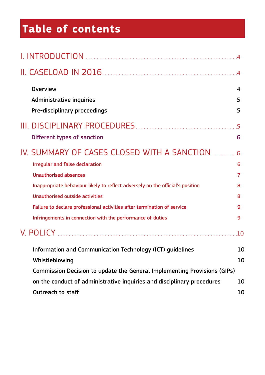# **Table of contents**

| <b>Overview</b>                                                                | 4      |
|--------------------------------------------------------------------------------|--------|
| Administrative inquiries<br>Pre-disciplinary proceedings                       | 5<br>5 |
|                                                                                |        |
| Different types of sanction                                                    | 6      |
|                                                                                |        |
| <b>Irregular and false declaration</b>                                         | 6      |
| <b>Unauthorised absences</b>                                                   | 7      |
| Inappropriate behaviour likely to reflect adversely on the official's position | 8      |
| Unauthorised outside activities                                                | 8      |
| Failure to declare professional activities after termination of service        | 9      |
| Infringements in connection with the performance of duties                     | 9      |
|                                                                                |        |
| Information and Communication Technology (ICT) guidelines                      | 10     |
| Whistleblowing                                                                 | 10     |
| Commission Decision to update the General Implementing Provisions (GIPs)       |        |
| on the conduct of administrative inquiries and disciplinary procedures         | 10     |
| Outreach to staff                                                              | 10     |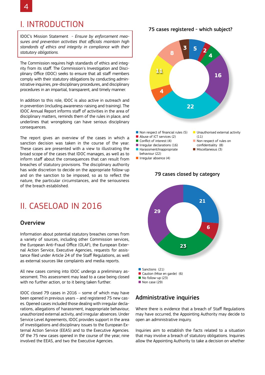# I. INTRODUCTION

IDOC's Mission Statement - *Ensure by enforcement measures and prevention activities that officials maintain high standards of ethics and integrity in compliance with their statutory obligations.*

The Commission requires high standards of ethics and integrity from its staff. The Commission's Investigation and Disciplinary Office (IDOC) seeks to ensure that all staff members comply with their statutory obligations by conducting administrative inquiries, pre-disciplinary procedures, and disciplinary procedures in an impartial, transparent, and timely manner.

In addition to this role, IDOC is also active in outreach and in prevention (including awareness-raising and training). The IDOC Annual Report informs staff of activities in the area of disciplinary matters, reminds them of the rules in place, and underlines that wrongdoing can have serious disciplinary consequences.

The report gives an overview of the cases in which a sanction decision was taken in the course of the year. These cases are presented with a view to illustrating the broad scope of the cases that IDOC manages, as well as to inform staff about the consequences that can result from breaches of statutory provisions. The disciplinary authority has wide discretion to decide on the appropriate follow-up and on the sanction to be imposed, so as to reflect the nature, the particular circumstances, and the seriousness of the breach established.

# II. CASELOAD IN 2016

### **Overview**

Information about potential statutory breaches comes from a variety of sources, including other Commission services, the European Anti-Fraud Office (OLAF), the European External Action Service, Executive Agencies, requests for assistance filed under Article 24 of the Staff Regulations, as well as external sources like complaints and media reports.

All new cases coming into IDOC undergo a preliminary assessment. This assessment may lead to a case being closed with no further action, or to it being taken further.

IDOC closed 79 cases in 2016 – some of which may have been opened in previous years – and registered 75 new cases. Opened cases included those dealing with irregular declarations, allegations of harassment, inappropriate behaviour, unauthorized external activity, and irregular absences. Under Service Level Agreements, IDOC provides support in the area of investigations and disciplinary issues to the European External Action Service (EEAS) and to the Executive Agencies. Of the 75 new cases opened in the course of the year, nine involved the EEAS, and two the Executive Agencies.

75 cases registered - which subject?



- Non respect of financial rules (5)
- Abuse of ICT services (2)
- Conflict of interest (4)
- **I** Irregular declarations (16) ■ Harassment/Inappropriate
- behaviour (22)

■ Irregular absence (4)



- Non respect of rules on confidentiality (8)
- Miscellaneous (3)
- 



### 79 cases closed by category

### Administrative inquiries

Where there is evidence that a breach of Staff Regulations may have occurred, the Appointing Authority may decide to open an administrative inquiry.

Inquiries aim to establish the facts related to a situation that may involve a breach of statutory obligations. Inquiries allow the Appointing Authority to take a decision on whether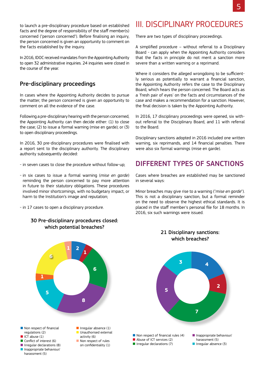5

to launch a pre-disciplinary procedure based on established facts and the degree of responsibility of the staff member(s) concerned ("person concerned"). Before finalising an inquiry, the person concerned is given an opportunity to comment on the facts established by the inquiry.

In 2016, IDOC received mandates from the Appointing Authority to open 32 administrative inquiries. 24 inquiries were closed in the course of the year.

## Pre-disciplinary proceedings

In cases where the Appointing Authority decides to pursue the matter, the person concerned is given an opportunity to comment on all the evidence of the case.

Following a pre-disciplinary hearing with the person concerned, the Appointing Authority can then decide either: (1) to close the case; (2) to issue a formal warning (mise en garde); or (3) to open disciplinary proceedings.

In 2016, 30 pre-disciplinary procedures were finalised with a report sent to the disciplinary authority. The disciplinary authority subsequently decided:

- in seven cases to close the procedure without follow-up;
- in six cases to issue a formal warning (*mise en garde*) reminding the person concerned to pay more attention in future to their statutory obligations. These procedures involved minor shortcomings, with no budgetary impact, or harm to the Institution's image and reputation;
- in 17 cases to open a disciplinary procedure.

### 30 Pre-disciplinary procedures closed: which potential breaches?



# III. DISCIPLINARY PROCEDURES

There are two types of disciplinary proceedings.

A simplified procedure – without referral to a Disciplinary Board - can apply when the Appointing Authority considers that the facts in principle do not merit a sanction more severe than a written warning or a reprimand.

Where it considers the alleged wrongdoing to be sufficiently serious as potentially to warrant a financial sanction, the Appointing Authority refers the case to the Disciplinary Board, which hears the person concerned. The Board acts as a 'fresh pair of eyes' on the facts and circumstances of the case and makes a recommendation for a sanction. However, the final decision is taken by the Appointing Authority.

In 2016, 17 disciplinary proceedings were opened, six without referral to the Disciplinary Board, and 11 with referral to the Board.

Disciplinary sanctions adopted in 2016 included one written warning, six reprimands, and 14 financial penalties. There were also six formal warnings (mise en garde).

# DIFFERENT TYPES OF SANCTIONS

Cases where breaches are established may be sanctioned in several ways:

Minor breaches may give rise to a warning ("*mise en garde*"). This is not a disciplinary sanction, but a formal reminder on the need to observe the highest ethical standards. It is placed in the staff member's personal file for 18 months. In 2016, six such warnings were issued.

> 21 Disciplinary sanctions: which breaches?

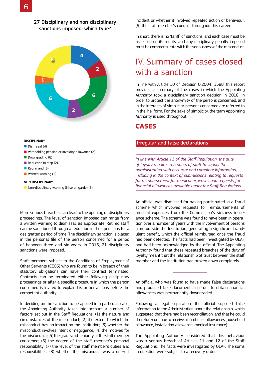### 27 Disciplinary and non-disciplinary sanctions imposed: which type?



#### DISCIPLINARY

■ Dismissal (4)

- Withholding pension or invaldity allowance (2)
- Downgrading (6)
- Reduction in step (2)
- Reprimand (6)
- Written warning (1)

#### NON DISCIPLINARY

■ Non-disciplinary warning (Mise en garde) (6)

More serious breaches can lead to the opening of disciplinary proceedings. The level of sanction imposed can range from a written warning to dismissal, as appropriate. Retired staff can be sanctioned through a reduction in their pensions for a designated period of time. The disciplinary sanction is placed in the personal file of the person concerned for a period of between three and six years. In 2016, 21 disciplinary sanctions were imposed.

Staff members subject to the Conditions of Employment of Other Servants (CEOS) who are found to be in breach of their statutory obligations can have their contract terminated. Contracts can be terminated either following disciplinary proceedings or after a specific procedure in which the person concerned is invited to explain his or her actions before the competent authority.

In deciding on the sanction to be applied in a particular case, the Appointing Authority takes into account a number of factors set out in the Staff Regulations: (1) the nature and circumstances of the misconduct; (2) the extent to which the misconduct has an impact on the Institution; (3) whether the misconduct involves intent or negligence; (4) the motives for the misconduct; (5) the grade and seniority of the staff member concerned; (6) the degree of the staff member's personal responsibility; (7) the level of the staff member's duties and responsibilities; (8) whether the misconduct was a one-off

incident or whether it involved repeated action or behaviour; (9) the staff member's conduct throughout his career.

In short, there is no 'tariff' of sanctions, and each case must be assessed on its merits, and any disciplinary penalty imposed must be commensurate wit h the seriousness of the misconduct.

# IV. Summary of cases closed with a sanction

In line with Article 10 of Decision C(2004) 1588, this report provides a summary of the cases in which the Appointing Authority took a disciplinary sanction decision in 2016. In order to protect the anonymity of the persons concerned, and in the interests of simplicity, persons concerned are referred to in the 'he' form. For the sake of simplicity, the term Appointing Authority is used throughout.

### **CASES**

#### Irregular and false declarations

*In line with Article 11 of the Staff Regulation, the duty of loyalty requires members of staff to supply the administration with accurate and complete information, including in the context of submissions relating to requests for reimbursement for medical expenses and requests for financial allowances available under the Staff Regulations.*

An official was dismissed for having participated in a fraud scheme which involved requests for reimbursements of medical expenses from the Commission's sickness insurance scheme. The scheme was found to have been in operation over a number of years with the involvement of persons from outside the Institution, generating a significant fraudulent benefit, which the official reimbursed once the fraud had been detected. The facts had been investigated by OLAF and had been acknowledged by the official. The Appointing Authority found that these repeated breaches of the duty of loyalty meant that the relationship of trust between the staff member and the Institution had broken down completely.

An official who was found to have made false declarations and produced fake documents in order to obtain financial allowances was permanently downgraded.

Following a legal separation, the official supplied false information to the Administration about the relationship, which suggested that there had been reconciliation, and that he could therefore continue to receive a number of allowances (household allowance, installation allowance, medical insurance).

The Appointing Authority considered that this behaviour was a serious breach of Articles 11 and 12 of the Staff Regulations. The facts were investigated by OLAF. The sums in question were subject to a recovery order.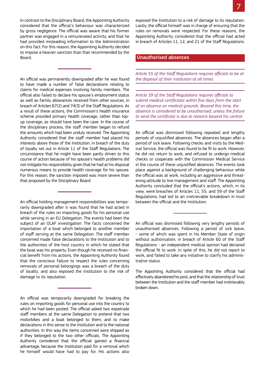In contrast to the Disciplinary Board, the Appointing Authority considered that the official's behaviour was characterized by gross negligence. The official was aware that his former partner was engaged in a remunerated activity, and that he had provided misleading information to the Administration on this fact. For this reason, the Appointing Authority decided to impose a heavier sanction than that recommended by the Board.

An official was permanently downgraded after he was found to have made a number of false declarations relating to claims for medical expenses involving family members. The official also failed to declare his spouse's employment status as well as family allowances received from other sources, in breach of Articles 67(2) and 74(3) of the Staff Regulations. As a result of these actions, the Commission's health insurance scheme provided primary health coverage, rather than topup coverage, as should have been the case. In the course of the disciplinary process, the staff member began to refund the amounts which had been unduly received. The Appointing Authority considered that the staff member had placed his interests above those of the Institution, in breach of the duty of loyalty set out in Article 11 of the Staff Regulations. The circumstance that he might have been partly driven to this course of action because of his spouse's health problems did not mitigate his responsibility given that he had at his disposal numerous means to provide health coverage for his spouse. For this reason, the sanction imposed was more severe than that proposed by the Disciplinary Board.

An official holding management responsibilities was temporarily downgraded after it was found that he had acted in breach of the rules on importing goods for his personal use while serving in an EU Delegation. The events had been the subject of an OLAF investigation. The facts concerned the importation of a boat which belonged to another member of staff serving at the same Delegation. The staff member concerned made false declarations to the Institution and to the authorities of the host country in which he stated that the boat was his property. Even though he received no financial benefit from his actions, the Appointing Authority found that the conscious failure to respect the rules concerning removals of personal belongings was a breach of the duty of loyalty, and also exposed the Institution to the risk of damage to its reputation.

An official was temporarily downgraded for breaking the rules on importing goods for personal use into the country to which he had been posted. The official asked two expatriate staff members at the same Delegation to pretend that two motorbikes and a boat belonged to them, and to make declarations in this sense to the Institution and to the national authorities. In this way the items concerned were shipped as if they belonged to the two other officials. The Appointing Authority considered that the official gained a financial advantage, because the Institution paid for a removal which he himself would have had to pay for. His actions also

exposed the Institution to a risk of damage to its reputation. Lastly, the official himself was in charge of ensuring that the rules on removals were respected. For these reasons, the Appointing Authority considered that the official had acted in breach of Articles 11, 12, and 21 of the Staff Regulations.

#### Unauthorised absences

*Article 55 of the Staff Regulations requires officials to be at the disposal of their institution at all times.* 

*Article 59 of the Staff Regulations requires officials to submit medical certificates within five days from the start of an absence on medical grounds. Beyond this time, the absence is considered to be unauthorised, unless the failure to send the certificate is due to reasons beyond his control.*

An official was dismissed following repeated and lengthy periods of unjustified absences. The absences began after a period of sick leave. Following checks and visits by the Medical Service, the official was found to be fit to work. However, he did not return to work, and refused to undergo medical checks or cooperate with the Commission Medical Service in the course of these unjustified absences. The events took place against a background of challenging behaviour while the official was at work, including an aggressive and threatening attitude to line management and staff. The Appointing Authority concluded that the official's actions, which, in its view, were breaches of Articles 11, 55, and 59 of the Staff Regulations, had led to an irretrievable breakdown in trust between the official and the Institution.

An official was dismissed following very lengthy periods of unauthorised absences. Following a period of sick leave, - some of which was spent in his Member State of origin without authorisation, in breach of Article 60 of the Staff Regulations - an independent medical opinion had declared the official fit to work. In spite of this, he did not report to work, and failed to take any initiative to clarify his administrative status.

The Appointing Authority considered that the official had effectively abandoned his post, and that the relationship of trust between the Institution and the staff member had irretrievably broken down.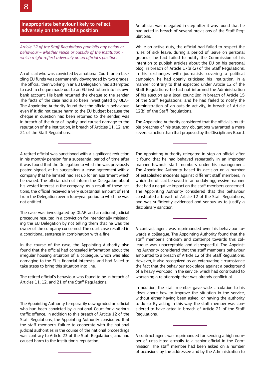8

Inappropriate behaviour likely to reflect adversely on the official's position

*Article 12 of the Staff Regulations prohibits any action or behaviour – whether inside or outside of the Institution which might reflect adversely on an official's position.*

An official who was convicted by a national Court for embezzling EU funds was permanently downgraded by two grades. The official, then working in an EU Delegation, had attempted to cash a cheque made out to an EU institution into his own bank account. His bank returned the cheque to the sender. The facts of the case had also been investigated by OLAF. The Appointing Authority found that the official's behaviour, even if it did not cause harm to the EU budget because the cheque in question had been returned to the sender, was in breach of the duty of loyalty, and caused damage to the reputation of the Institution, in breach of Articles 11, 12, and 21 of the Staff Regulations.

A retired official was sanctioned with a significant reduction in his monthly pension for a substantial period of time after it was found that the Delegation to which he was previously posted signed, at his suggestion, a lease agreement with a company that he himself had set up for an apartment which he owned. The official did not inform the Delegation about his vested interest in the company. As a result of these actions, the official received a very substantial amount of rent from the Delegation over a four-year period to which he was not entitled.

The case was investigated by OLAF, and a national judicial procedure resulted in a conviction for intentionally misleading the EU Delegation by not telling them that he was the owner of the company concerned. The court case resulted in a conditional sentence in combination with a fine.

In the course of the case, the Appointing Authority also found that the official had concealed information about the irregular housing situation of a colleague, which was also damaging to the EU's financial interests, and had failed to take steps to bring this situation into line.

The retired official's behaviour was found to be in breach of Articles 11, 12, and 21 of the Staff Regulations.

The Appointing Authority temporarily downgraded an official who had been convicted by a national Court for a serious traffic offence. In addition to this breach of Article 12 of the Staff Regulations, the Appointing Authority considered that the staff member's failure to cooperate with the national judicial authorities in the course of the national proceedings was contrary to Article 23 of the Staff Regulations, and had caused harm to the Institution's reputation.

An official was relegated in step after it was found that he had acted in breach of several provisions of the Staff Regulations.

While on active duty, the official had failed to respect the rules of sick leave; during a period of leave on personal grounds, he had failed to notify the Commission of his intention to publish articles about the EU on his personal blog, in breach of Article 17(a)(2) of the Staff Regulations; in his exchanges with journalists covering a political campaign, he had openly criticised his Institution, in a manner contrary to that expected under Article 12 of the Staff Regulations; he had not informed the Administration of his election as a local councillor, in breach of Article 15 of the Staff Regulations; and he had failed to notify the Administration of an outside activity, in breach of Article 12(b) of the Staff Regulations.

The Appointing Authority considered that the official's multiple breaches of his statutory obligations warranted a more severe sanction than that proposed by the Disciplinary Board.

The Appointing Authority relegated in step an official after it found that he had behaved repeatedly in an improper manner towards staff members under his management. The Appointing Authority based its decision on a number of established incidents against different staff members, in which the official behaved in an unduly aggressive manner that had a negative impact on the staff members concerned. The Appointing Authority considered that this behaviour constituted a breach of Article 12 of the Staff Regulations, and was sufficiently evidenced and serious as to justify a disciplinary sanction.

A contract agent was reprimanded over his behaviour towards a colleague. The Appointing Authority found that the staff member's criticism and contempt towards this colleague was unacceptable and disrespectful. The Appointing Authority considered that the staff member's behaviour amounted to a breach of Article 12 of the Staff Regulations. However, it also recognized as an extenuating circumstance the fact that the behaviour took place against a background of a heavy workload in the service, which had contributed to worsening a relationship that was already conflictual.

In addition, the staff member gave wide circulation to his ideas about how to improve the situation in the service, without either having been asked, or having the authority to do so. By acting in this way, the staff member was considered to have acted in breach of Article 21 of the Staff Regulations.

A contract agent was reprimanded for sending a high number of unsolicited e-mails to a senior official in the Commission. The staff member had been asked on a number of occasions by the addressee and by the Administration to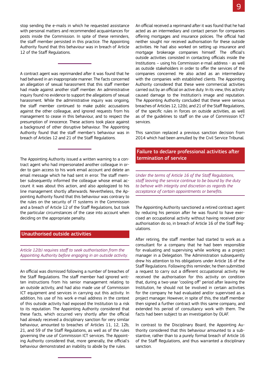stop sending the e-mails in which he requested assistance with personal matters and recommended acquaintances for posts inside the Commission. In spite of these reminders, the staff member persisted in this practice. The Appointing Authority found that this behaviour was in breach of Article 12 of the Staff Regulations.

A contract agent was reprimanded after it was found that he had behaved in an inappropriate manner. The facts concerned an allegation of sexual harassment that this staff member had made against another staff member. An administrative inquiry found no evidence to support the allegations of sexual harassment. While the administrative inquiry was ongoing, the staff member continued to make public accusations against the other colleague, and ignored requests from his management to cease in this behaviour, and to respect the presumption of innocence. These actions took place against a background of other disruptive behaviour. The Appointing Authority found that the staff member's behaviour was in breach of Articles 12 and 21 of the Staff Regulations.

The Appointing Authority issued a written warning to a contract agent who had impersonated another colleague in order to gain access to his work email account and delete an email message which he had sent in error. The staff member subsequently informed the colleague whose email account it was about this action, and also apologized to his line management shortly afterwards. Nevertheless, the Appointing Authority found that this behaviour was contrary to the rules on the security of IT systems in the Commission and a breach of Article 12 of the Staff Regulations, but took the particular circumstances of the case into account when deciding on the appropriate penalty.

#### Unauthorised outside activities

*Article 12(b) requires staff to seek authorisation from the Appointing Authority before engaging in an outside activity.* 

An official was dismissed following a number of breaches of the Staff Regulations. The staff member had ignored written instructions from his senior management relating to an outside activity, and had also made use of Commission ICT equipment and services in carrying out this activity. In addition, his use of his work e-mail address in the context of this outside activity had exposed the Institution to a risk to its reputation. The Appointing Authority considered that these facts, which occurred very shortly after the official had already received a disciplinary sanction for very similar behaviour, amounted to breaches of Articles 11, 12, 12b, 21, and 59 of the Staff Regulations, as well as of the rules governing the use of Commission ICT services. The Appointing Authority considered that, more generally, the official's behaviour demonstrated an inability to abide by the rules.

An official received a reprimand after it was found that he had acted as an intermediary and contact person for companies offering mortgages and insurance policies. The official had neither sought nor received authorisation for these outside activities. He had also worked on setting up insurance and mortgage brokerage companies himself. The official's outside activities consisted in contacting officials inside the Institutions – using his Commission e-mail address - as well as outside stakeholders in order to offer the services of the companies concerned. He also acted as an intermediary with the companies with established clients. The Appointing Authority considered that these were commercial activities carried out by an official on active duty. In its view, this activity caused damage to the Institution's image and reputation. The Appointing Authority concluded that these were serious breaches of Articles 12, 12(b), and 21 of the Staff Regulations, of the specific rules in forces on outside activities, as well as of the guidelines to staff on the use of Commission ICT services.

This sanction replaced a previous sanction decision from 2014 which had been annulled by the Civil Service Tribunal.

### Failure to declare professional activities after termination of service

*Under the terms of Article 16 of the Staff Regulations, staff leaving the service continue to be bound by the duty to behave with integrity and discretion as regards the acceptance of certain appointments or benefits.* 

The Appointing Authority sanctioned a retired contract agent by reducing his pension after he was found to have exercised an occupational activity without having received prior authorisation do so, in breach of Article 16 of the Staff Regulations.

After retiring, the staff member had started to work as a consultant for a company that he had been responsible for evaluating and supervising while working as a project manager in a Delegation. The Administration subsequently drew his attention to his obligations under Article 16 of the Staff Regulations. Following this reminder, he then submitted a request to carry out a different occupational activity. He received the authorisation for this activity on condition that, during a two-year "cooling off" period after leaving the Institution, he should not be involved in certain activities for the company he had evaluated and/or supervised as a project manager. However, in spite of this, the staff member then signed a further contract with this same company, and extended his period of consultancy work with them. The facts had been subject to an investigation by OLAF.

In contrast to the Disciplinary Board, the Appointing Authority considered that this behaviour amounted to a substantive, rather than to a purely formal breach of Article 16 of the Staff Regulations, and thus warranted a disciplinary sanction.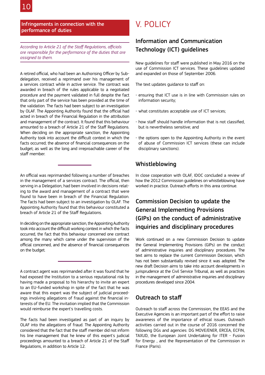### Infringements in connection with the performance of duties

*According to Article 21 of the Staff Regulations, officials are responsible for the performance of the duties that are assigned to them.*

A retired official, who had been an Authorising Officer by Subdelegation, received a reprimand over his management of a services contract while in active service. The contract was awarded in breach of the rules applicable to a negotiated procedure and the payment validated in full despite the fact that only part of the service has been provided at the time of the validation. The facts had been subject to an investigation by OLAF. The Appointing Authority found that the official had acted in breach of the Financial Regulation in the attribution and management of the contract. It found that this behaviour amounted to a breach of Article 21 of the Staff Regulations. When deciding on the appropriate sanction, the Appointing Authority took into account the difficult context in which the facts occurred; the absence of financial consequences on the budget; as well as the long and irreproachable career of the staff member.

An official was reprimanded following a number of breaches in the management of a services contract. The official, then serving in a Delegation, had been involved in decisions relating to the award and management of a contract that were found to have been in breach of the Financial Regulation. The facts had been subject to an investigation by OLAF. The Appointing Authority found that this behaviour constituted a breach of Article 21 of the Staff Regulations.

In deciding on the appropriate sanction, the Appointing Authority took into account the difficult working context in which the facts occurred, the fact that this behaviour concerned one contract among the many which came under the supervision of the official concerned, and the absence of financial consequences on the budget.

A contract agent was reprimanded after it was found that he had exposed the Institution to a serious reputational risk by having made a proposal to his hierarchy to invite an expert to an EU-funded workshop in spite of the fact that he was aware that this expert was the subject of judicial proceedings involving allegations of fraud against the financial interests of the EU. The invitation implied that the Commission would reimburse the expert's travelling costs.

The facts had been investigated as part of an inquiry by OLAF into the allegations of fraud. The Appointing Authority considered that the fact that the staff member did not inform his line management that he knew of this expert's judicial proceedings amounted to a breach of Article 21 of the Staff Regulations, in addition to Article 12.

# V. POLICY

# Information and Communication Technology (ICT) guidelines

New guidelines for staff were published in May 2016 on the use of Commission ICT services. These guidelines updated and expanded on those of September 2006.

The text updates guidance to staff on:

- ensuring that ICT use is in line with Commission rules on information security;
- what constitutes acceptable use of ICT services;
- how staff should handle information that is not classified, but is nevertheless sensitive; and
- the options open to the Appointing Authority in the event of abuse of Commission ICT services (these can include disciplinary sanctions).

## Whistleblowing

In close cooperation with OLAF, IDOC concluded a review of how the 2012 Commission guidelines on whistleblowing have worked in practice. Outreach efforts in this area continue.

# Commission Decision to update the General Implementing Provisions (GIPs) on the conduct of administrative inquiries and disciplinary procedures

Work continued on a new Commission Decision to update the General Implementing Provisions (GIPs) on the conduct of administrative inquiries and disciplinary procedures. The text aims to replace the current Commission Decision, which has not been substantially revised since it was adopted. The new draft Decision aims to take into account developments in jurisprudence at the Civil Service Tribunal, as well as practices in the management of administrative inquiries and disciplinary procedures developed since 2004.

## Outreach to staff

Outreach to staff across the Commission, the EEAS and the Executive Agencies is an important part of the effort to raise awareness of the importance of ethical issues. Outreach activities carried out in the course of 2016 concerned the following DGs and agencies: DG MOVE/ENER, ERCEA, ECFIN, TAXUD, the European Joint Undertaking for ITER - Fusion for Energy , and the Representation of the Commission in France (Paris).